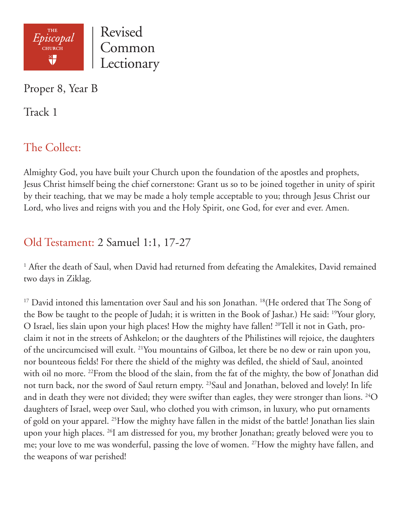

Lectionary

Proper 8, Year B

Track 1

# The Collect:

Almighty God, you have built your Church upon the foundation of the apostles and prophets, Jesus Christ himself being the chief cornerstone: Grant us so to be joined together in unity of spirit by their teaching, that we may be made a holy temple acceptable to you; through Jesus Christ our Lord, who lives and reigns with you and the Holy Spirit, one God, for ever and ever. Amen.

# Old Testament: 2 Samuel 1:1, 17-27

<sup>1</sup> After the death of Saul, when David had returned from defeating the Amalekites, David remained two days in Ziklag.

<sup>17</sup> David intoned this lamentation over Saul and his son Jonathan. <sup>18</sup> (He ordered that The Song of the Bow be taught to the people of Judah; it is written in the Book of Jashar.) He said: 19Your glory, O Israel, lies slain upon your high places! How the mighty have fallen! 20Tell it not in Gath, proclaim it not in the streets of Ashkelon; or the daughters of the Philistines will rejoice, the daughters of the uncircumcised will exult. 21You mountains of Gilboa, let there be no dew or rain upon you, nor bounteous fields! For there the shield of the mighty was defiled, the shield of Saul, anointed with oil no more. <sup>22</sup>From the blood of the slain, from the fat of the mighty, the bow of Jonathan did not turn back, nor the sword of Saul return empty. <sup>23</sup>Saul and Jonathan, beloved and lovely! In life and in death they were not divided; they were swifter than eagles, they were stronger than lions.  $^{24}O$ daughters of Israel, weep over Saul, who clothed you with crimson, in luxury, who put ornaments of gold on your apparel. 25How the mighty have fallen in the midst of the battle! Jonathan lies slain upon your high places. 26I am distressed for you, my brother Jonathan; greatly beloved were you to me; your love to me was wonderful, passing the love of women. 27How the mighty have fallen, and the weapons of war perished!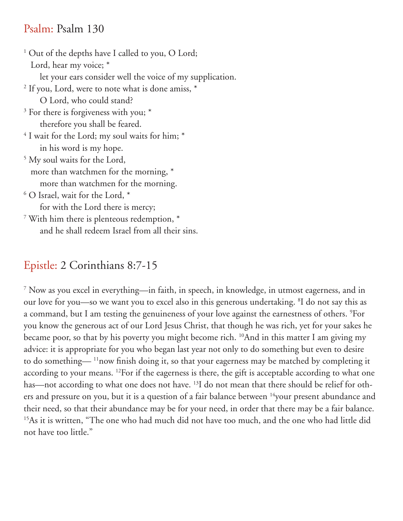#### Psalm: Psalm 130

<sup>1</sup> Out of the depths have I called to you, O Lord; Lord, hear my voice;  $*$  let your ears consider well the voice of my supplication. 2 If you, Lord, were to note what is done amiss, \* O Lord, who could stand? 3 For there is forgiveness with you; \* therefore you shall be feared.  $^4$  I wait for the Lord; my soul waits for him;  $^*$  in his word is my hope. 5 My soul waits for the Lord, more than watchmen for the morning, \* more than watchmen for the morning.  $6$  O Israel, wait for the Lord,  $*$  for with the Lord there is mercy; 7 With him there is plenteous redemption, \* and he shall redeem Israel from all their sins.

## Epistle: 2 Corinthians 8:7-15

7 Now as you excel in everything—in faith, in speech, in knowledge, in utmost eagerness, and in our love for you—so we want you to excel also in this generous undertaking. <sup>8</sup>I do not say this as a command, but I am testing the genuineness of your love against the earnestness of others. 9 For you know the generous act of our Lord Jesus Christ, that though he was rich, yet for your sakes he became poor, so that by his poverty you might become rich. 10And in this matter I am giving my advice: it is appropriate for you who began last year not only to do something but even to desire to do something— 11now finish doing it, so that your eagerness may be matched by completing it according to your means. 12For if the eagerness is there, the gift is acceptable according to what one has—not according to what one does not have. <sup>13</sup>I do not mean that there should be relief for others and pressure on you, but it is a question of a fair balance between <sup>14</sup>your present abundance and their need, so that their abundance may be for your need, in order that there may be a fair balance. <sup>15</sup>As it is written, "The one who had much did not have too much, and the one who had little did not have too little."